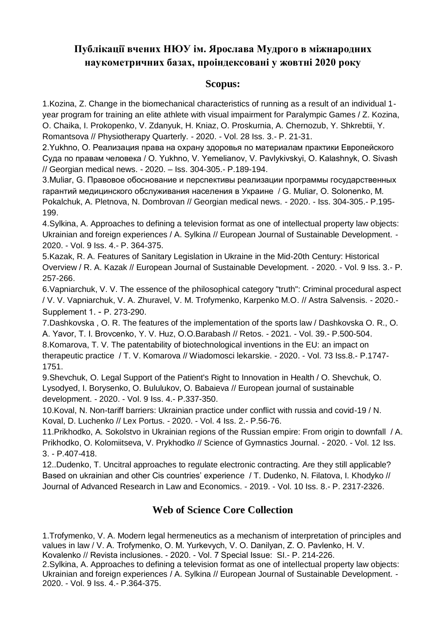## **Публікації вчених НЮУ ім. Ярослава Мудрого в міжнародних наукометричних базах, проіндексовані у жовтні 2020 року**

## **Scopus:**

1.Kozina, Z. Change in the biomechanical characteristics of running as a result of an individual 1 year program for training an elite athlete with visual impairment for Paralympic Games / Z. Kozina, O. Chaika, I. Prokopenko, V. Zdanyuk, H. Kniaz, O. Proskurnia, A. Chernozub, Y. Shkrebtii, Y. Romantsova // Physiotherapy Quarterly. - 2020. - Vol. 28 Iss. 3.- P. 21-31.

2.Yukhno, O. Реализация права на охрану здоровья по материалам практики Европейского Суда по правам человека / O. Yukhno, V. Yemelianov, V. Pavlykivskyi, O. Kalashnyk, O. Sivash // Georgian medical news. - 2020. – Iss. 304-305.- P.189-194.

3.Muliar, G. Правовое обоснование и перспективы реализации программы государственных гарантий медицинского обслуживания населения в Украине / G. Muliar, O. Solonenko, M. Pokalchuk, A. Pletnova, N. Dombrovan // Georgian medical news. - 2020. - Iss. 304-305.- P.195- 199.

4.Sylkina, A. Approaches to defining a television format as one of intellectual property law objects: Ukrainian and foreign experiences / A. Sylkina // European Journal of Sustainable Development. - 2020. - Vol. 9 Iss. 4.- P. 364-375.

5.Kazak, R. A. Features of Sanitary Legislation in Ukraine in the Mid-20th Century: Historical Overview / R. A. Kazak // European Journal of Sustainable Development. - 2020. - Vol. 9 Iss. 3.- P. 257-266.

6.Vapniarchuk, V. V. The essence of the philosophical category "truth": Criminal procedural aspect / V. V. Vapniarchuk, V. A. Zhuravel, V. M. Trofymenko, Karpenko M.O. // Astra Salvensis. - 2020.- Supplement 1. - P. 273-290.

7.Dashkovska , O. R. The features of the implementation of the sports law / Dashkovska O. R., O. А. Yavor, T. I. Brovcenko, Y. V. Huz, O.O.Barabash // Retos. - 2021. - Vol. 39.- P.500-504. 8.Komarova, T. V. The patentability of biotechnological inventions in the EU: an impact on therapeutic practice / T. V. Komarova // Wiadomosci lekarskie. - 2020. - Vol. 73 Iss.8.- P.1747- 1751.

9.Shevchuk, O. Legal Support of the Patient's Right to Innovation in Health / O. Shevchuk, O. Lysodyed, I. Borysenko, O. Bululukov, O. Babaieva // European journal of sustainable development. - 2020. - Vol. 9 Iss. 4.- P.337-350.

10.Koval, N. Non-tariff barriers: Ukrainian practice under conflict with russia and covid-19 / N. Koval, D. Luchenko // Lex Portus. - 2020. - Vol. 4 Iss. 2.- P.56-76.

11.Prikhodko, A. Sokolstvo in Ukrainian regions of the Russian empire: From origin to downfall / A. Prikhodko, O. Kolomiitseva, V. Prykhodko // Science of Gymnastics Journal. - 2020. - Vol. 12 Iss. 3. - P.407-418.

12..Dudenko, T. Uncitral approaches to regulate electronic contracting. Are they still applicable? Based on ukrainian and other Cis countries' experience / T. Dudenko, N. Filatova, I. Khodyko // Journal of Advanced Research in Law and Economics. - 2019. - Vol. 10 Iss. 8.- P. 2317-2326.

## **Web of Science Core Collection**

1.Trofymenko, V. A. Modern legal hermeneutics as a mechanism of interpretation of principles and values in law / V. A. Trofymenko, O. M. Yurkevych, V. O. Danilyan, Z. O. Pavlenko, H. V.

Kovalenko // Revista inclusiones. - 2020. - Vol. 7 Special Issue: SI.- P. 214-226.

2.Sylkina, A. Approaches to defining a television format as one of intellectual property law objects: Ukrainian and foreign experiences / A. Sylkina // European Journal of Sustainable Development. - 2020. - Vol. 9 Iss. 4.- P.364-375.